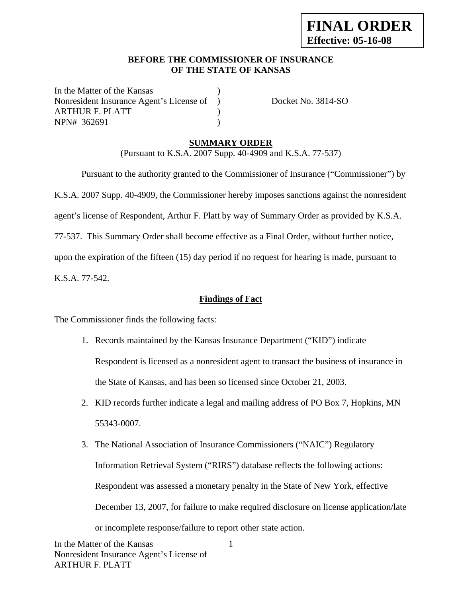## **BEFORE THE COMMISSIONER OF INSURANCE OF THE STATE OF KANSAS**

In the Matter of the Kansas Nonresident Insurance Agent's License of ) Docket No. 3814-SO ARTHUR F. PLATT ) NPN# 362691 )

# **SUMMARY ORDER**

(Pursuant to K.S.A. 2007 Supp. 40-4909 and K.S.A. 77-537)

 Pursuant to the authority granted to the Commissioner of Insurance ("Commissioner") by K.S.A. 2007 Supp. 40-4909, the Commissioner hereby imposes sanctions against the nonresident agent's license of Respondent, Arthur F. Platt by way of Summary Order as provided by K.S.A. 77-537. This Summary Order shall become effective as a Final Order, without further notice, upon the expiration of the fifteen (15) day period if no request for hearing is made, pursuant to

K.S.A. 77-542.

## **Findings of Fact**

The Commissioner finds the following facts:

- 1. Records maintained by the Kansas Insurance Department ("KID") indicate Respondent is licensed as a nonresident agent to transact the business of insurance in the State of Kansas, and has been so licensed since October 21, 2003.
- 2. KID records further indicate a legal and mailing address of PO Box 7, Hopkins, MN 55343-0007.
- 3. The National Association of Insurance Commissioners ("NAIC") Regulatory Information Retrieval System ("RIRS") database reflects the following actions: Respondent was assessed a monetary penalty in the State of New York, effective December 13, 2007, for failure to make required disclosure on license application/late or incomplete response/failure to report other state action.

1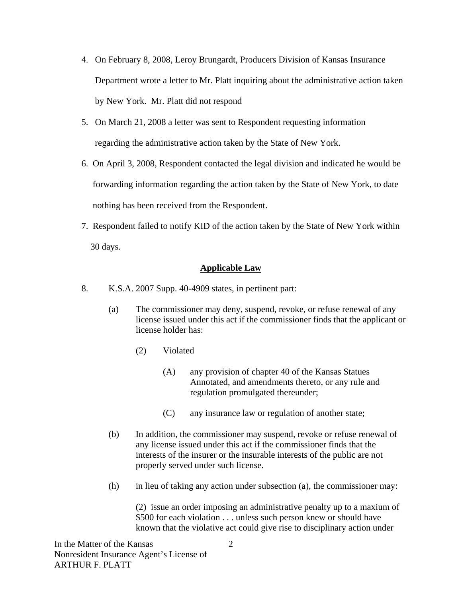- 4. On February 8, 2008, Leroy Brungardt, Producers Division of Kansas Insurance Department wrote a letter to Mr. Platt inquiring about the administrative action taken by New York. Mr. Platt did not respond
- 5. On March 21, 2008 a letter was sent to Respondent requesting information regarding the administrative action taken by the State of New York.
- 6. On April 3, 2008, Respondent contacted the legal division and indicated he would be forwarding information regarding the action taken by the State of New York, to date nothing has been received from the Respondent.
- 7. Respondent failed to notify KID of the action taken by the State of New York within 30 days.

## **Applicable Law**

- 8. K.S.A. 2007 Supp. 40-4909 states, in pertinent part:
	- (a) The commissioner may deny, suspend, revoke, or refuse renewal of any license issued under this act if the commissioner finds that the applicant or license holder has:
		- (2) Violated
			- (A) any provision of chapter 40 of the Kansas Statues Annotated, and amendments thereto, or any rule and regulation promulgated thereunder;
			- (C) any insurance law or regulation of another state;
	- (b) In addition, the commissioner may suspend, revoke or refuse renewal of any license issued under this act if the commissioner finds that the interests of the insurer or the insurable interests of the public are not properly served under such license.
	- (h) in lieu of taking any action under subsection (a), the commissioner may:

(2) issue an order imposing an administrative penalty up to a maxium of \$500 for each violation . . . unless such person knew or should have known that the violative act could give rise to disciplinary action under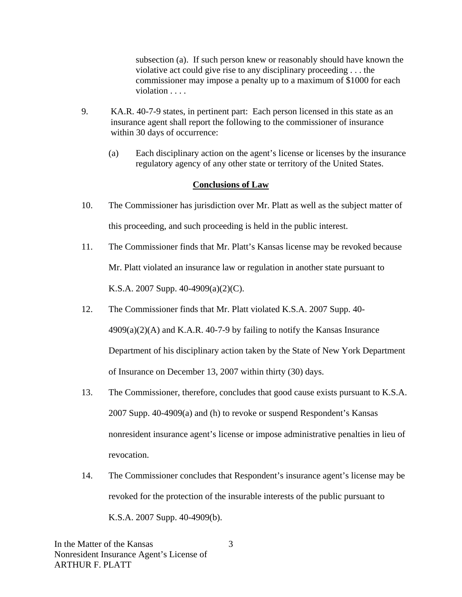subsection (a). If such person knew or reasonably should have known the violative act could give rise to any disciplinary proceeding . . . the commissioner may impose a penalty up to a maximum of \$1000 for each violation . . . .

- 9. KA.R. 40-7-9 states, in pertinent part: Each person licensed in this state as an insurance agent shall report the following to the commissioner of insurance within 30 days of occurrence:
	- (a) Each disciplinary action on the agent's license or licenses by the insurance regulatory agency of any other state or territory of the United States.

### **Conclusions of Law**

- 10. The Commissioner has jurisdiction over Mr. Platt as well as the subject matter of this proceeding, and such proceeding is held in the public interest.
- 11. The Commissioner finds that Mr. Platt's Kansas license may be revoked because Mr. Platt violated an insurance law or regulation in another state pursuant to K.S.A. 2007 Supp. 40-4909(a)(2)(C).
- 12. The Commissioner finds that Mr. Platt violated K.S.A. 2007 Supp. 40-  $4909(a)(2)(A)$  and K.A.R. 40-7-9 by failing to notify the Kansas Insurance Department of his disciplinary action taken by the State of New York Department of Insurance on December 13, 2007 within thirty (30) days.
- 13. The Commissioner, therefore, concludes that good cause exists pursuant to K.S.A. 2007 Supp. 40-4909(a) and (h) to revoke or suspend Respondent's Kansas nonresident insurance agent's license or impose administrative penalties in lieu of revocation.
- 14. The Commissioner concludes that Respondent's insurance agent's license may be revoked for the protection of the insurable interests of the public pursuant to K.S.A. 2007 Supp. 40-4909(b).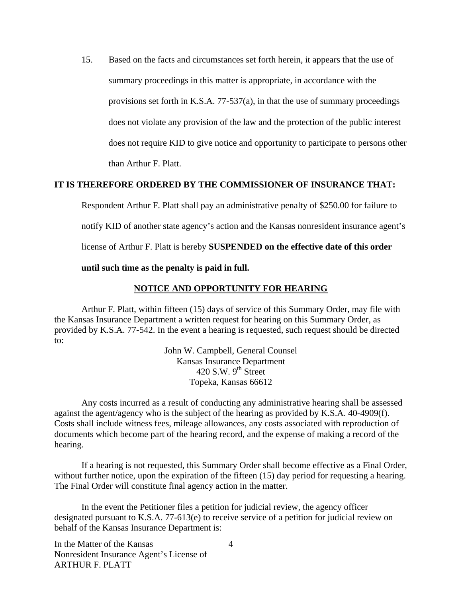15. Based on the facts and circumstances set forth herein, it appears that the use of summary proceedings in this matter is appropriate, in accordance with the provisions set forth in K.S.A. 77-537(a), in that the use of summary proceedings does not violate any provision of the law and the protection of the public interest does not require KID to give notice and opportunity to participate to persons other than Arthur F. Platt.

### **IT IS THEREFORE ORDERED BY THE COMMISSIONER OF INSURANCE THAT:**

Respondent Arthur F. Platt shall pay an administrative penalty of \$250.00 for failure to

notify KID of another state agency's action and the Kansas nonresident insurance agent's

license of Arthur F. Platt is hereby **SUSPENDED on the effective date of this order** 

#### **until such time as the penalty is paid in full.**

#### **NOTICE AND OPPORTUNITY FOR HEARING**

Arthur F. Platt, within fifteen (15) days of service of this Summary Order, may file with the Kansas Insurance Department a written request for hearing on this Summary Order, as provided by K.S.A. 77-542. In the event a hearing is requested, such request should be directed to:

> John W. Campbell, General Counsel Kansas Insurance Department  $420$  S.W.  $9<sup>th</sup>$  Street Topeka, Kansas 66612

Any costs incurred as a result of conducting any administrative hearing shall be assessed against the agent/agency who is the subject of the hearing as provided by K.S.A. 40-4909(f). Costs shall include witness fees, mileage allowances, any costs associated with reproduction of documents which become part of the hearing record, and the expense of making a record of the hearing.

If a hearing is not requested, this Summary Order shall become effective as a Final Order, without further notice, upon the expiration of the fifteen (15) day period for requesting a hearing. The Final Order will constitute final agency action in the matter.

In the event the Petitioner files a petition for judicial review, the agency officer designated pursuant to K.S.A. 77-613(e) to receive service of a petition for judicial review on behalf of the Kansas Insurance Department is:

In the Matter of the Kansas Nonresident Insurance Agent's License of ARTHUR F. PLATT